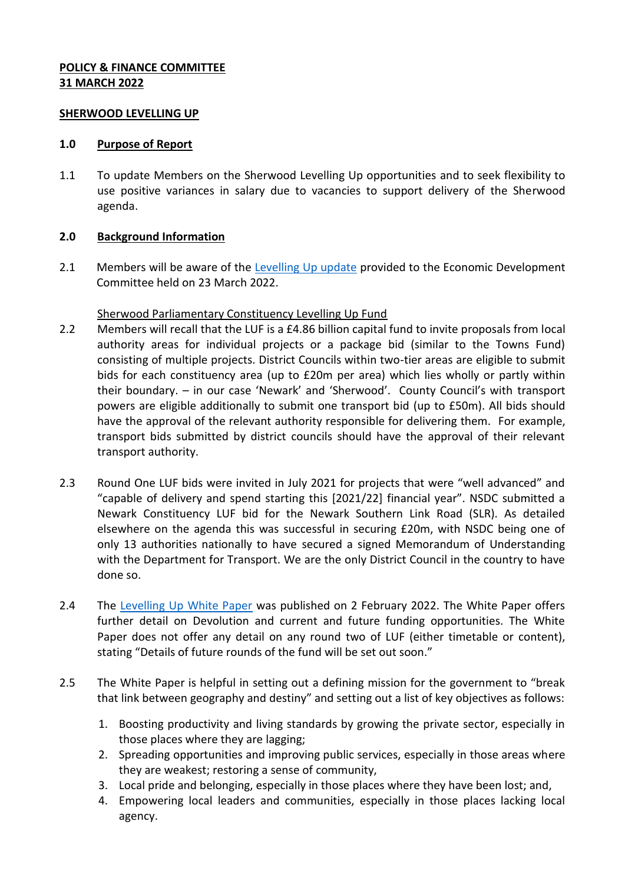## **POLICY & FINANCE COMMITTEE 31 MARCH 2022**

### **SHERWOOD LEVELLING UP**

### **1.0 Purpose of Report**

1.1 To update Members on the Sherwood Levelling Up opportunities and to seek flexibility to use positive variances in salary due to vacancies to support delivery of the Sherwood agenda.

# **2.0 Background Information**

2.1 Members will be aware of the [Levelling Up update](https://democracy.newark-sherwooddc.gov.uk/documents/s13494/07%20-%2023.03.22%20-%20Funding%20Opportunities%20Update%20Sherwood%20Levelling%20Up%20COMPLETE.pdf) provided to the Economic Development Committee held on 23 March 2022.

# Sherwood Parliamentary Constituency Levelling Up Fund

- 2.2 Members will recall that the LUF is a £4.86 billion capital fund to invite proposals from local authority areas for individual projects or a package bid (similar to the Towns Fund) consisting of multiple projects. District Councils within two-tier areas are eligible to submit bids for each constituency area (up to £20m per area) which lies wholly or partly within their boundary. – in our case 'Newark' and 'Sherwood'. County Council's with transport powers are eligible additionally to submit one transport bid (up to £50m). All bids should have the approval of the relevant authority responsible for delivering them. For example, transport bids submitted by district councils should have the approval of their relevant transport authority.
- 2.3 Round One LUF bids were invited in July 2021 for projects that were "well advanced" and "capable of delivery and spend starting this [2021/22] financial year". NSDC submitted a Newark Constituency LUF bid for the Newark Southern Link Road (SLR). As detailed elsewhere on the agenda this was successful in securing £20m, with NSDC being one of only 13 authorities nationally to have secured a signed Memorandum of Understanding with the Department for Transport. We are the only District Council in the country to have done so.
- 2.4 The [Levelling Up White Paper](https://assets.publishing.service.gov.uk/government/uploads/system/uploads/attachment_data/file/1052706/Levelling_Up_WP_HRES.pdf) was published on 2 February 2022. The White Paper offers further detail on Devolution and current and future funding opportunities. The White Paper does not offer any detail on any round two of LUF (either timetable or content), stating "Details of future rounds of the fund will be set out soon."
- 2.5 The White Paper is helpful in setting out a defining mission for the government to "break" that link between geography and destiny" and setting out a list of key objectives as follows:
	- 1. Boosting productivity and living standards by growing the private sector, especially in those places where they are lagging;
	- 2. Spreading opportunities and improving public services, especially in those areas where they are weakest; restoring a sense of community,
	- 3. Local pride and belonging, especially in those places where they have been lost; and,
	- 4. Empowering local leaders and communities, especially in those places lacking local agency.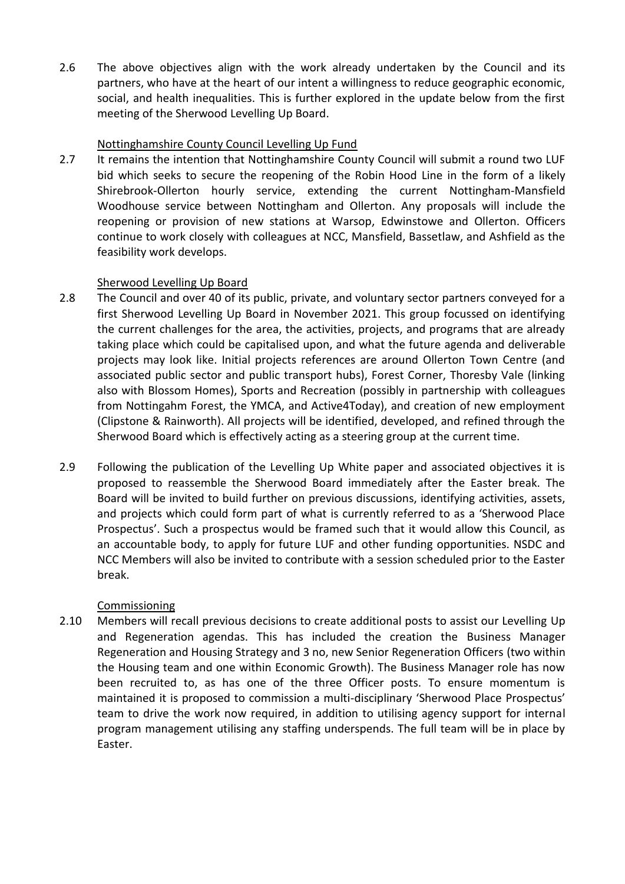2.6 The above objectives align with the work already undertaken by the Council and its partners, who have at the heart of our intent a willingness to reduce geographic economic, social, and health inequalities. This is further explored in the update below from the first meeting of the Sherwood Levelling Up Board.

## Nottinghamshire County Council Levelling Up Fund

2.7 It remains the intention that Nottinghamshire County Council will submit a round two LUF bid which seeks to secure the reopening of the Robin Hood Line in the form of a likely Shirebrook-Ollerton hourly service, extending the current Nottingham-Mansfield Woodhouse service between Nottingham and Ollerton. Any proposals will include the reopening or provision of new stations at Warsop, Edwinstowe and Ollerton. Officers continue to work closely with colleagues at NCC, Mansfield, Bassetlaw, and Ashfield as the feasibility work develops.

# Sherwood Levelling Up Board

- 2.8 The Council and over 40 of its public, private, and voluntary sector partners conveyed for a first Sherwood Levelling Up Board in November 2021. This group focussed on identifying the current challenges for the area, the activities, projects, and programs that are already taking place which could be capitalised upon, and what the future agenda and deliverable projects may look like. Initial projects references are around Ollerton Town Centre (and associated public sector and public transport hubs), Forest Corner, Thoresby Vale (linking also with Blossom Homes), Sports and Recreation (possibly in partnership with colleagues from Nottingahm Forest, the YMCA, and Active4Today), and creation of new employment (Clipstone & Rainworth). All projects will be identified, developed, and refined through the Sherwood Board which is effectively acting as a steering group at the current time.
- 2.9 Following the publication of the Levelling Up White paper and associated objectives it is proposed to reassemble the Sherwood Board immediately after the Easter break. The Board will be invited to build further on previous discussions, identifying activities, assets, and projects which could form part of what is currently referred to as a 'Sherwood Place Prospectus'. Such a prospectus would be framed such that it would allow this Council, as an accountable body, to apply for future LUF and other funding opportunities. NSDC and NCC Members will also be invited to contribute with a session scheduled prior to the Easter break.

# Commissioning

2.10 Members will recall previous decisions to create additional posts to assist our Levelling Up and Regeneration agendas. This has included the creation the Business Manager Regeneration and Housing Strategy and 3 no, new Senior Regeneration Officers (two within the Housing team and one within Economic Growth). The Business Manager role has now been recruited to, as has one of the three Officer posts. To ensure momentum is maintained it is proposed to commission a multi-disciplinary 'Sherwood Place Prospectus' team to drive the work now required, in addition to utilising agency support for internal program management utilising any staffing underspends. The full team will be in place by Easter.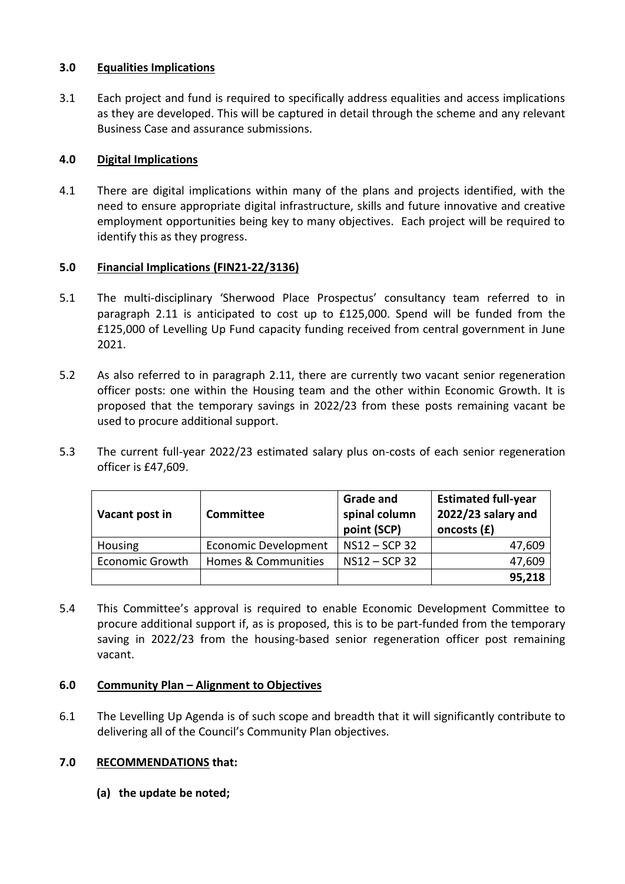## **3.0 Equalities Implications**

3.1 Each project and fund is required to specifically address equalities and access implications as they are developed. This will be captured in detail through the scheme and any relevant Business Case and assurance submissions.

# **4.0 Digital Implications**

4.1 There are digital implications within many of the plans and projects identified, with the need to ensure appropriate digital infrastructure, skills and future innovative and creative employment opportunities being key to many objectives. Each project will be required to identify this as they progress.

# **5.0 Financial Implications (FIN21-22/3136)**

- 5.1 The multi-disciplinary 'Sherwood Place Prospectus' consultancy team referred to in paragraph 2.11 is anticipated to cost up to £125,000. Spend will be funded from the £125,000 of Levelling Up Fund capacity funding received from central government in June 2021.
- 5.2 As also referred to in paragraph 2.11, there are currently two vacant senior regeneration officer posts: one within the Housing team and the other within Economic Growth. It is proposed that the temporary savings in 2022/23 from these posts remaining vacant be used to procure additional support.
- 5.3 The current full-year 2022/23 estimated salary plus on-costs of each senior regeneration officer is £47,609.

| Vacant post in         | Committee                   | <b>Grade and</b><br>spinal column<br>point (SCP) | <b>Estimated full-year</b><br>2022/23 salary and<br>oncosts (£) |
|------------------------|-----------------------------|--------------------------------------------------|-----------------------------------------------------------------|
| Housing                | <b>Economic Development</b> | NS12-SCP 32                                      | 47,609                                                          |
| <b>Economic Growth</b> | Homes & Communities         | NS12-SCP 32                                      | 47,609                                                          |
|                        |                             |                                                  | 95,218                                                          |

5.4 This Committee's approval is required to enable Economic Development Committee to procure additional support if, as is proposed, this is to be part-funded from the temporary saving in 2022/23 from the housing-based senior regeneration officer post remaining vacant.

# **6.0 Community Plan – Alignment to Objectives**

6.1 The Levelling Up Agenda is of such scope and breadth that it will significantly contribute to delivering all of the Council's Community Plan objectives.

# **7.0 RECOMMENDATIONS that:**

**(a) the update be noted;**